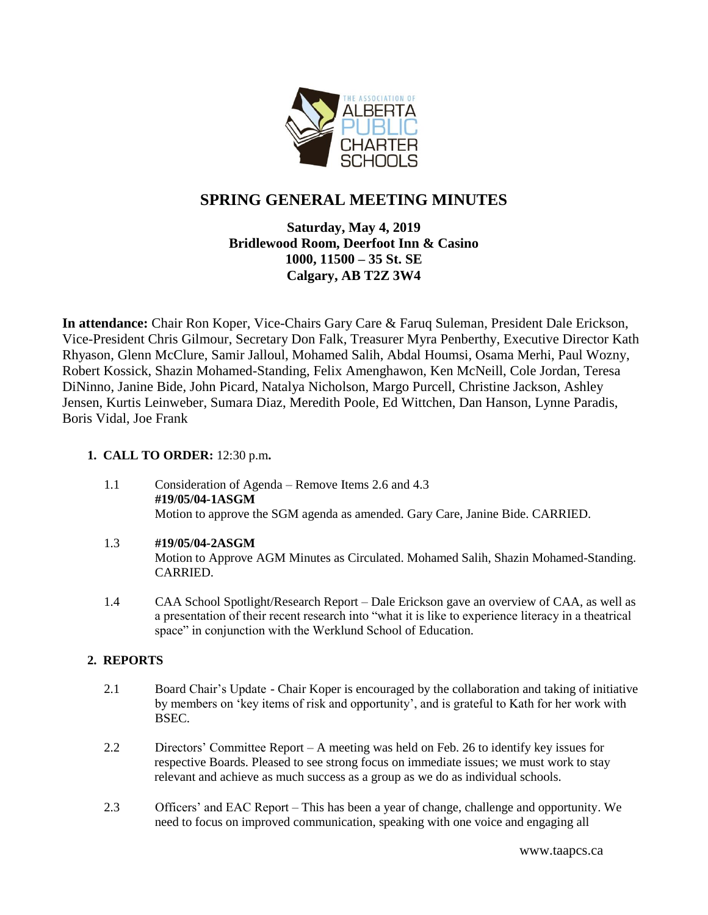

# **SPRING GENERAL MEETING MINUTES**

# **Saturday, May 4, 2019 Bridlewood Room, Deerfoot Inn & Casino 1000, 11500 – 35 St. SE Calgary, AB T2Z 3W4**

**In attendance:** Chair Ron Koper, Vice-Chairs Gary Care & Faruq Suleman, President Dale Erickson, Vice-President Chris Gilmour, Secretary Don Falk, Treasurer Myra Penberthy, Executive Director Kath Rhyason, Glenn McClure, Samir Jalloul, Mohamed Salih, Abdal Houmsi, Osama Merhi, Paul Wozny, Robert Kossick, Shazin Mohamed-Standing, Felix Amenghawon, Ken McNeill, Cole Jordan, Teresa DiNinno, Janine Bide, John Picard, Natalya Nicholson, Margo Purcell, Christine Jackson, Ashley Jensen, Kurtis Leinweber, Sumara Diaz, Meredith Poole, Ed Wittchen, Dan Hanson, Lynne Paradis, Boris Vidal, Joe Frank

# **1. CALL TO ORDER:** 12:30 p.m**.**

- 1.1 Consideration of Agenda Remove Items 2.6 and 4.3 **#19/05/04-1ASGM** Motion to approve the SGM agenda as amended. Gary Care, Janine Bide. CARRIED.
- 1.3 **#19/05/04-2ASGM** Motion to Approve AGM Minutes as Circulated. Mohamed Salih, Shazin Mohamed-Standing. CARRIED.
- 1.4 CAA School Spotlight/Research Report Dale Erickson gave an overview of CAA, as well as a presentation of their recent research into "what it is like to experience literacy in a theatrical space" in conjunction with the Werklund School of Education.

# **2. REPORTS**

- 2.1 Board Chair's Update Chair Koper is encouraged by the collaboration and taking of initiative by members on 'key items of risk and opportunity', and is grateful to Kath for her work with BSEC.
- 2.2 Directors' Committee Report A meeting was held on Feb. 26 to identify key issues for respective Boards. Pleased to see strong focus on immediate issues; we must work to stay relevant and achieve as much success as a group as we do as individual schools.
- 2.3 Officers' and EAC Report This has been a year of change, challenge and opportunity. We need to focus on improved communication, speaking with one voice and engaging all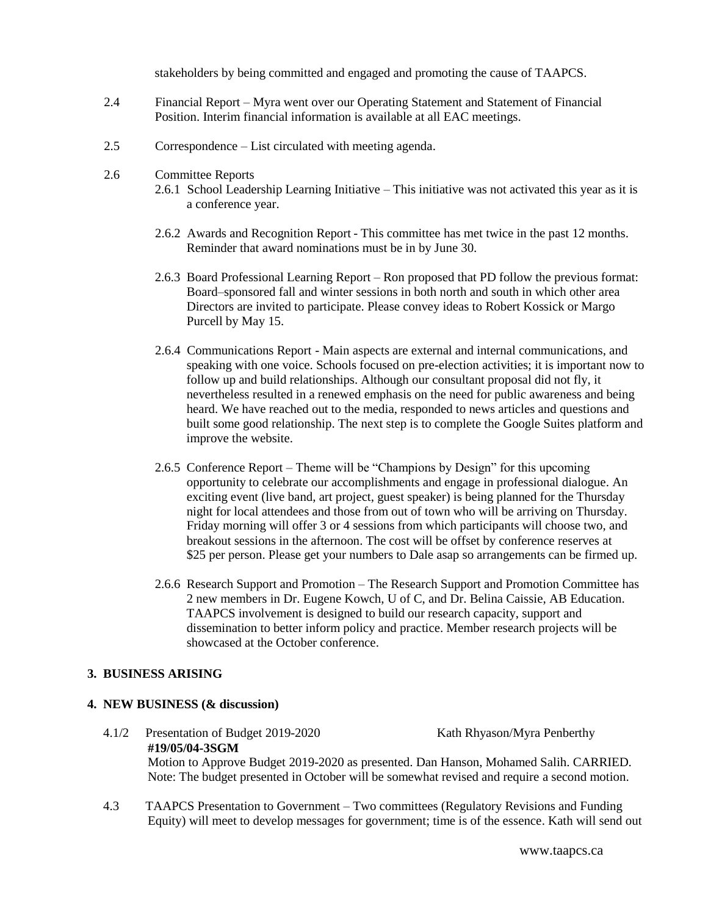stakeholders by being committed and engaged and promoting the cause of TAAPCS.

- 2.4 Financial Report Myra went over our Operating Statement and Statement of Financial Position. Interim financial information is available at all EAC meetings.
- 2.5 Correspondence List circulated with meeting agenda.
- 2.6 Committee Reports
	- 2.6.1 School Leadership Learning Initiative This initiative was not activated this year as it is a conference year.
	- 2.6.2 Awards and Recognition Report This committee has met twice in the past 12 months. Reminder that award nominations must be in by June 30.
	- 2.6.3 Board Professional Learning Report Ron proposed that PD follow the previous format: Board–sponsored fall and winter sessions in both north and south in which other area Directors are invited to participate. Please convey ideas to Robert Kossick or Margo Purcell by May 15.
	- 2.6.4 Communications Report Main aspects are external and internal communications, and speaking with one voice. Schools focused on pre-election activities; it is important now to follow up and build relationships. Although our consultant proposal did not fly, it nevertheless resulted in a renewed emphasis on the need for public awareness and being heard. We have reached out to the media, responded to news articles and questions and built some good relationship. The next step is to complete the Google Suites platform and improve the website.
	- 2.6.5 Conference Report Theme will be "Champions by Design" for this upcoming opportunity to celebrate our accomplishments and engage in professional dialogue. An exciting event (live band, art project, guest speaker) is being planned for the Thursday night for local attendees and those from out of town who will be arriving on Thursday. Friday morning will offer 3 or 4 sessions from which participants will choose two, and breakout sessions in the afternoon. The cost will be offset by conference reserves at \$25 per person. Please get your numbers to Dale asap so arrangements can be firmed up.
	- 2.6.6 Research Support and Promotion The Research Support and Promotion Committee has 2 new members in Dr. Eugene Kowch, U of C, and Dr. Belina Caissie, AB Education. TAAPCS involvement is designed to build our research capacity, support and dissemination to better inform policy and practice. Member research projects will be showcased at the October conference.

#### **3. BUSINESS ARISING**

## **4. NEW BUSINESS (& discussion)**

 4.1/2 Presentation of Budget 2019-2020 Kath Rhyason/Myra Penberthy **#19/05/04-3SGM** Motion to Approve Budget 2019-2020 as presented. Dan Hanson, Mohamed Salih. CARRIED.

Note: The budget presented in October will be somewhat revised and require a second motion.

 4.3 TAAPCS Presentation to Government – Two committees (Regulatory Revisions and Funding Equity) will meet to develop messages for government; time is of the essence. Kath will send out